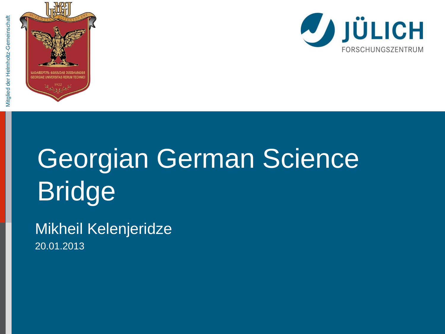



# Georgian German Science Bridge

Mikheil Kelenjeridze 20.01.2013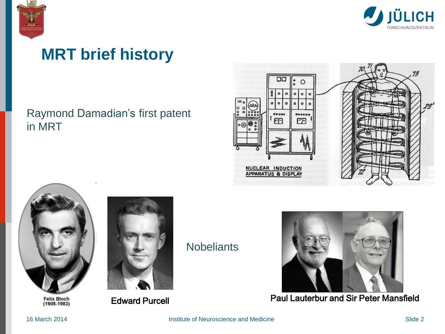



#### **MRT brief history**

#### Raymond Damadian's first patent in MRT





Felix Bloch<br>(1905-1983)



**Nobeliants** 



Edward Purcell **Paul Lauterbur and Sir Peter Mansfield**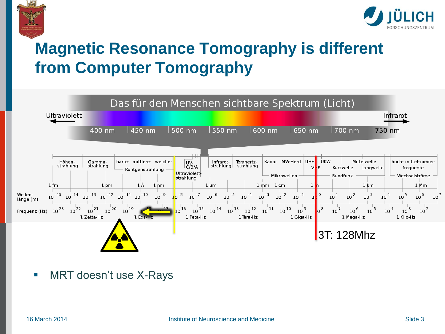



## **Magnetic Resonance Tomography is different from Computer Tomography**



**NRT doesn't use X-Rays**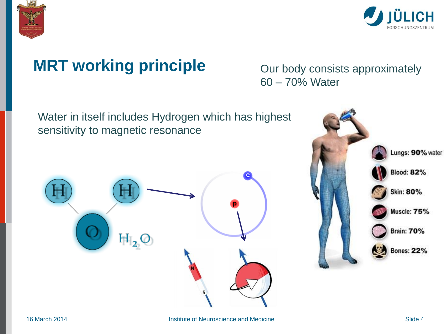



### **MRT working principle** Our body consists approximately

60 – 70% Water

Water in itself includes Hydrogen which has highest sensitivity to magnetic resonance



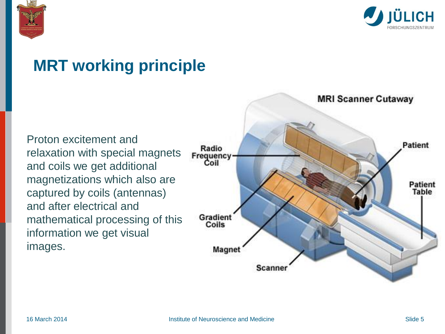



#### **MRT working principle**

Proton excitement and relaxation with special magnets and coils we get additional magnetizations which also are captured by coils (antennas) and after electrical and mathematical processing of this information we get visual images.

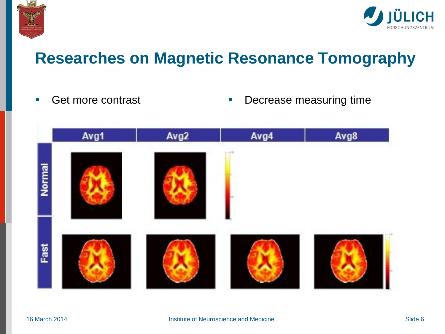



#### **Researches on Magnetic Resonance Tomography**

- 
- Get more contrast **Decrease measuring time**

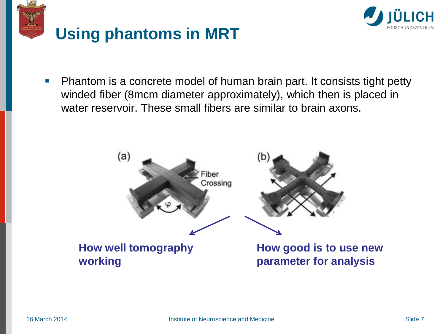



**Phantom is a concrete model of human brain part. It consists tight petty** winded fiber (8mcm diameter approximately), which then is placed in water reservoir. These small fibers are similar to brain axons.

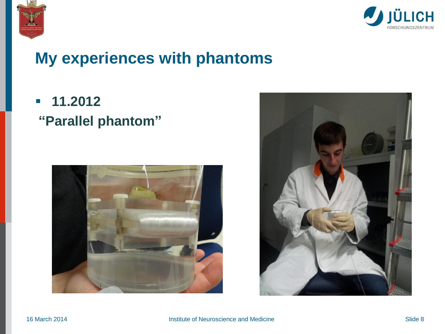



#### **My experiences with phantoms**

 **11.2012 "Parallel phantom"**



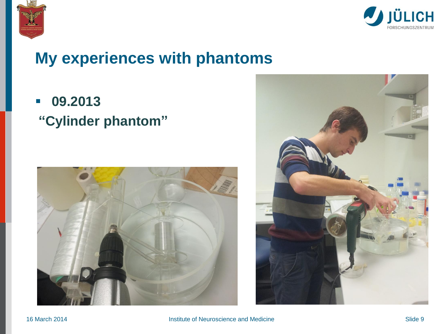



#### **My experiences with phantoms**

 **09.2013 "Cylinder phantom"**



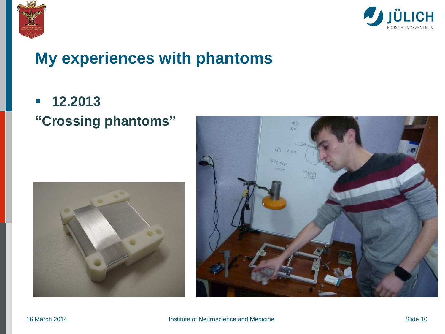



#### **My experiences with phantoms**

#### **12.2013 "Crossing phantoms"**



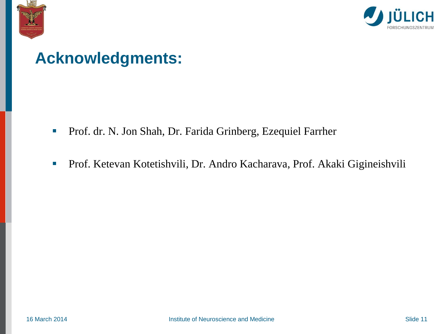



#### **Acknowledgments:**

- **Prof. dr. N. Jon Shah, Dr. Farida Grinberg, Ezequiel Farrher**
- Prof. Ketevan Kotetishvili, Dr. Andro Kacharava, Prof. Akaki Gigineishvili